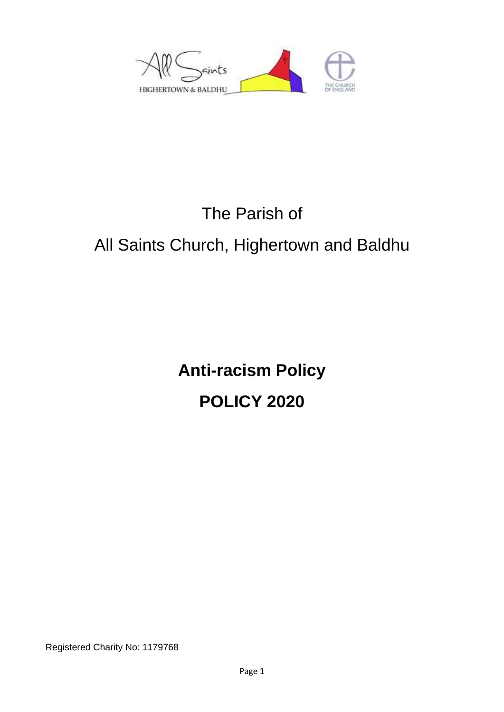

# The Parish of All Saints Church, Highertown and Baldhu

**Anti-racism Policy POLICY 2020**

Registered Charity No: 1179768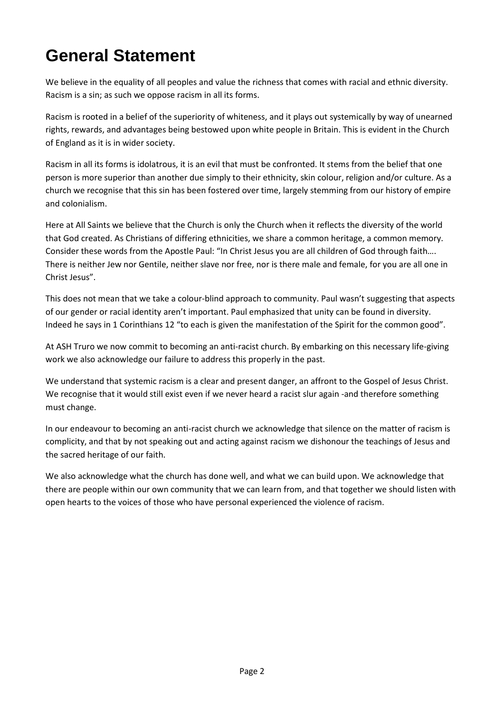## **General Statement**

We believe in the equality of all peoples and value the richness that comes with racial and ethnic diversity. Racism is a sin; as such we oppose racism in all its forms.

Racism is rooted in a belief of the superiority of whiteness, and it plays out systemically by way of unearned rights, rewards, and advantages being bestowed upon white people in Britain. This is evident in the Church of England as it is in wider society.

Racism in all its forms is idolatrous, it is an evil that must be confronted. It stems from the belief that one person is more superior than another due simply to their ethnicity, skin colour, religion and/or culture. As a church we recognise that this sin has been fostered over time, largely stemming from our history of empire and colonialism.

Here at All Saints we believe that the Church is only the Church when it reflects the diversity of the world that God created. As Christians of differing ethnicities, we share a common heritage, a common memory. Consider these words from the Apostle Paul: "In Christ Jesus you are all children of God through faith…. There is neither Jew nor Gentile, neither slave nor free, nor is there male and female, for you are all one in Christ Jesus".

This does not mean that we take a colour-blind approach to community. Paul wasn't suggesting that aspects of our gender or racial identity aren't important. Paul emphasized that unity can be found in diversity. Indeed he says in 1 Corinthians 12 "to each is given the manifestation of the Spirit for the common good".

At ASH Truro we now commit to becoming an anti-racist church. By embarking on this necessary life-giving work we also acknowledge our failure to address this properly in the past.

We understand that systemic racism is a clear and present danger, an affront to the Gospel of Jesus Christ. We recognise that it would still exist even if we never heard a racist slur again -and therefore something must change.

In our endeavour to becoming an anti-racist church we acknowledge that silence on the matter of racism is complicity, and that by not speaking out and acting against racism we dishonour the teachings of Jesus and the sacred heritage of our faith.

We also acknowledge what the church has done well, and what we can build upon. We acknowledge that there are people within our own community that we can learn from, and that together we should listen with open hearts to the voices of those who have personal experienced the violence of racism.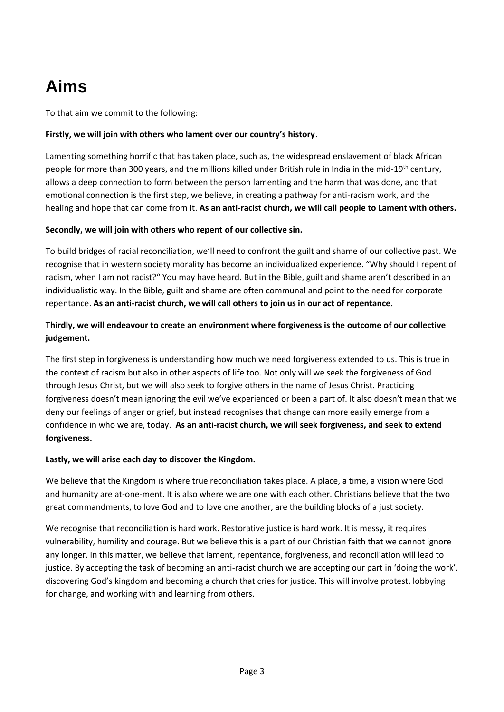## **Aims**

To that aim we commit to the following:

#### **Firstly, we will join with others who lament over our country's history**.

Lamenting something horrific that has taken place, such as, the widespread enslavement of black African people for more than 300 years, and the millions killed under British rule in India in the mid-19th century, allows a deep connection to form between the person lamenting and the harm that was done, and that emotional connection is the first step, we believe, in creating a pathway for anti-racism work, and the healing and hope that can come from it. **As an anti-racist church, we will call people to Lament with others.**

#### **Secondly, we will join with others who repent of our collective sin.**

To build bridges of racial reconciliation, we'll need to confront the guilt and shame of our collective past. We recognise that in western society morality has become an individualized experience. "Why should I repent of racism, when I am not racist?" You may have heard. But in the Bible, guilt and shame aren't described in an individualistic way. In the Bible, guilt and shame are often communal and point to the need for corporate repentance. **As an anti-racist church, we will call others to join us in our act of repentance.**

#### **Thirdly, we will endeavour to create an environment where forgiveness is the outcome of our collective judgement.**

The first step in forgiveness is understanding how much we need forgiveness extended to us. This is true in the context of racism but also in other aspects of life too. Not only will we seek the forgiveness of God through Jesus Christ, but we will also seek to forgive others in the name of Jesus Christ. Practicing forgiveness doesn't mean ignoring the evil we've experienced or been a part of. It also doesn't mean that we deny our feelings of anger or grief, but instead recognises that change can more easily emerge from a confidence in who we are, today. **As an anti-racist church, we will seek forgiveness, and seek to extend forgiveness.** 

#### **Lastly, we will arise each day to discover the Kingdom.**

We believe that the Kingdom is where true reconciliation takes place. A place, a time, a vision where God and humanity are at-one-ment. It is also where we are one with each other. Christians believe that the two great commandments, to love God and to love one another, are the building blocks of a just society.

We recognise that reconciliation is hard work. Restorative justice is hard work. It is messy, it requires vulnerability, humility and courage. But we believe this is a part of our Christian faith that we cannot ignore any longer. In this matter, we believe that lament, repentance, forgiveness, and reconciliation will lead to justice. By accepting the task of becoming an anti-racist church we are accepting our part in 'doing the work', discovering God's kingdom and becoming a church that cries for justice. This will involve protest, lobbying for change, and working with and learning from others.